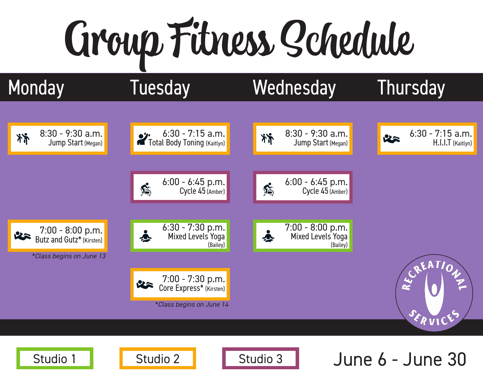# Group Fitness Schedule

济

### 6:30 - 7:15 a.m. Total Body Toning (Kaitlyn)



8:30 - 9:30 a.m.

Jump Start (Megan)



6:30 - 7:15 a.m.

H.I.I.T (Kaitlyn)







### Studio 1 | Studio 2 | Studio 3 | June 6 - June 30





6:00 - 6:45 p.m. Cycle 45 (Amber)



唇





*\*Class begins on June 13*

*\*Class begins on June 14*





## Monday Tuesday Wednesday Thursday

25